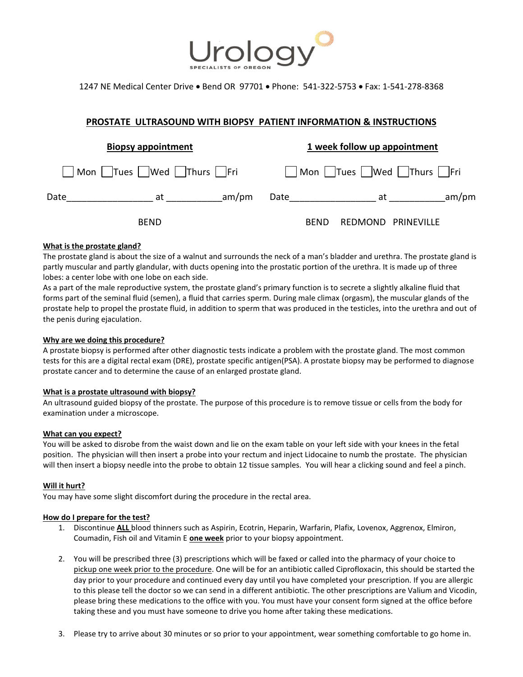

1247 NE Medical Center Drive Bend OR 97701 Phone: 541-322-5753 Fax: 1-541-278-8368

# **PROSTATE ULTRASOUND WITH BIOPSY PATIENT INFORMATION & INSTRUCTIONS**

| <b>Biopsy appointment</b>     |             |       | 1 week follow up appointment          |             |                    |  |       |
|-------------------------------|-------------|-------|---------------------------------------|-------------|--------------------|--|-------|
| Mon Trues   Wed   Thurs   Fri |             |       | Mon     Tues    Wed     Thurs     Fri |             |                    |  |       |
| Date                          | at          | am/pm | Date                                  |             | at                 |  | am/pm |
|                               | <b>BEND</b> |       |                                       | <b>BEND</b> | REDMOND PRINEVILLE |  |       |

## **What is the prostate gland?**

The prostate gland is about the size of a walnut and surrounds the neck of a man's bladder and urethra. The prostate gland is partly muscular and partly glandular, with ducts opening into the prostatic portion of the urethra. It is made up of three lobes: a center lobe with one lobe on each side.

As a part of the male reproductive system, the prostate gland's primary function is to secrete a slightly alkaline fluid that forms part of the seminal fluid (semen), a fluid that carries sperm. During male climax (orgasm), the muscular glands of the prostate help to propel the prostate fluid, in addition to sperm that was produced in the testicles, into the urethra and out of the penis during ejaculation.

## **Why are we doing this procedure?**

A prostate biopsy is performed after other diagnostic tests indicate a problem with the prostate gland. The most common tests for this are a digital rectal exam (DRE), prostate specific antigen(PSA). A prostate biopsy may be performed to diagnose prostate cancer and to determine the cause of an enlarged prostate gland.

#### **What is a prostate ultrasound with biopsy?**

An ultrasound guided biopsy of the prostate. The purpose of this procedure is to remove tissue or cells from the body for examination under a microscope.

#### **What can you expect?**

You will be asked to disrobe from the waist down and lie on the exam table on your left side with your knees in the fetal position. The physician will then insert a probe into your rectum and inject Lidocaine to numb the prostate. The physician will then insert a biopsy needle into the probe to obtain 12 tissue samples. You will hear a clicking sound and feel a pinch.

#### **Will it hurt?**

You may have some slight discomfort during the procedure in the rectal area.

#### **How do I prepare for the test?**

- 1. Discontinue **ALL** blood thinners such as Aspirin, Ecotrin, Heparin, Warfarin, Plafix, Lovenox, Aggrenox, Elmiron, Coumadin, Fish oil and Vitamin E **one week** prior to your biopsy appointment.
- 2. You will be prescribed three (3) prescriptions which will be faxed or called into the pharmacy of your choice to pickup one week prior to the procedure. One will be for an antibiotic called Ciprofloxacin, this should be started the day prior to your procedure and continued every day until you have completed your prescription. If you are allergic to this please tell the doctor so we can send in a different antibiotic. The other prescriptions are Valium and Vicodin, please bring these medications to the office with you. You must have your consent form signed at the office before taking these and you must have someone to drive you home after taking these medications.
- 3. Please try to arrive about 30 minutes or so prior to your appointment, wear something comfortable to go home in.